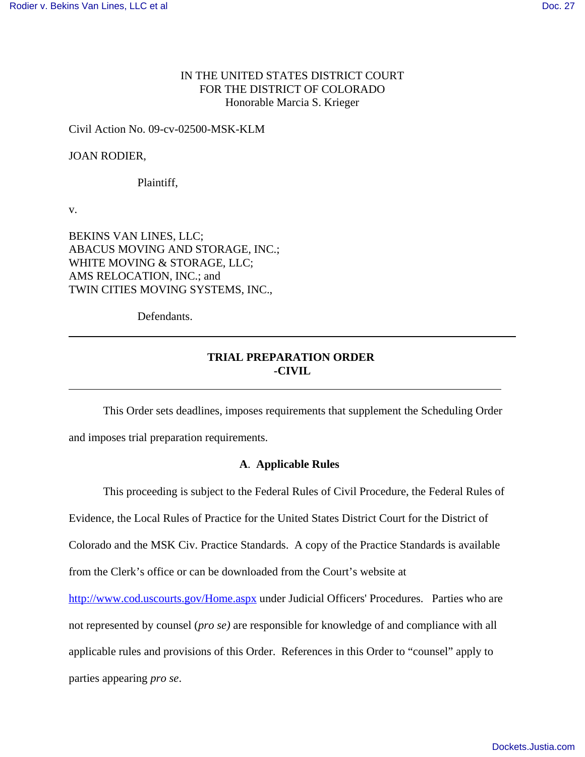## IN THE UNITED STATES DISTRICT COURT FOR THE DISTRICT OF COLORADO Honorable Marcia S. Krieger

#### Civil Action No. 09-cv-02500-MSK-KLM

### JOAN RODIER,

Plaintiff,

v.

BEKINS VAN LINES, LLC; ABACUS MOVING AND STORAGE, INC.; WHITE MOVING & STORAGE, LLC; AMS RELOCATION, INC.; and TWIN CITIES MOVING SYSTEMS, INC.,

Defendants.

# **TRIAL PREPARATION ORDER -CIVIL**

This Order sets deadlines, imposes requirements that supplement the Scheduling Order and imposes trial preparation requirements.

## **A**. **Applicable Rules**

This proceeding is subject to the Federal Rules of Civil Procedure, the Federal Rules of

Evidence, the Local Rules of Practice for the United States District Court for the District of

Colorado and the MSK Civ. Practice Standards. A copy of the Practice Standards is available

from the Clerk's office or can be downloaded from the Court's website at

http://www.cod.uscourts.gov/Home.aspx under Judicial Officers' Procedures. Parties who are

not represented by counsel (*pro se)* are responsible for knowledge of and compliance with all

applicable rules and provisions of this Order. References in this Order to "counsel" apply to

parties appearing *pro se*.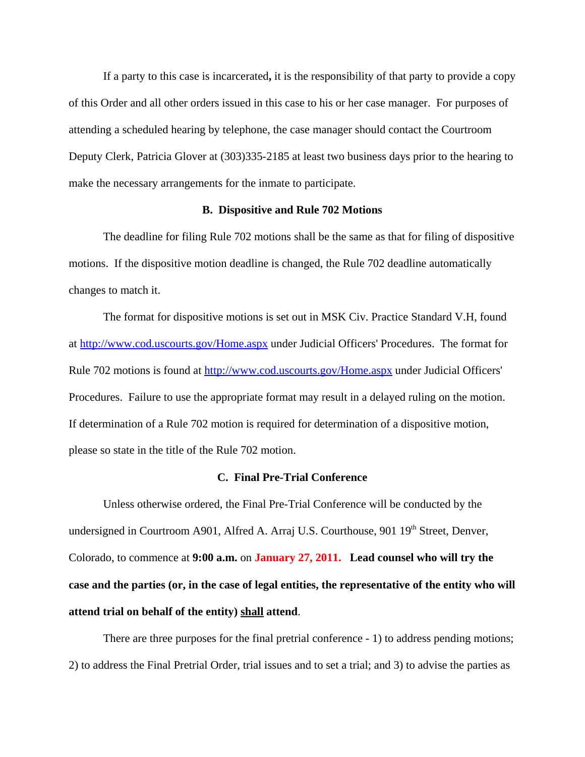If a party to this case is incarcerated**,** it is the responsibility of that party to provide a copy of this Order and all other orders issued in this case to his or her case manager. For purposes of attending a scheduled hearing by telephone, the case manager should contact the Courtroom Deputy Clerk, Patricia Glover at (303)335-2185 at least two business days prior to the hearing to make the necessary arrangements for the inmate to participate.

#### **B. Dispositive and Rule 702 Motions**

The deadline for filing Rule 702 motions shall be the same as that for filing of dispositive motions. If the dispositive motion deadline is changed, the Rule 702 deadline automatically changes to match it.

The format for dispositive motions is set out in MSK Civ. Practice Standard V.H, found at http://www.cod.uscourts.gov/Home.aspx under Judicial Officers' Procedures. The format for Rule 702 motions is found at http://www.cod.uscourts.gov/Home.aspx under Judicial Officers' Procedures. Failure to use the appropriate format may result in a delayed ruling on the motion. If determination of a Rule 702 motion is required for determination of a dispositive motion, please so state in the title of the Rule 702 motion.

#### **C. Final Pre-Trial Conference**

Unless otherwise ordered, the Final Pre-Trial Conference will be conducted by the undersigned in Courtroom A901, Alfred A. Arraj U.S. Courthouse, 901 19<sup>th</sup> Street, Denver, Colorado, to commence at **9:00 a.m.** on **January 27, 2011. Lead counsel who will try the case and the parties (or, in the case of legal entities, the representative of the entity who will attend trial on behalf of the entity) shall attend**.

There are three purposes for the final pretrial conference - 1) to address pending motions; 2) to address the Final Pretrial Order, trial issues and to set a trial; and 3) to advise the parties as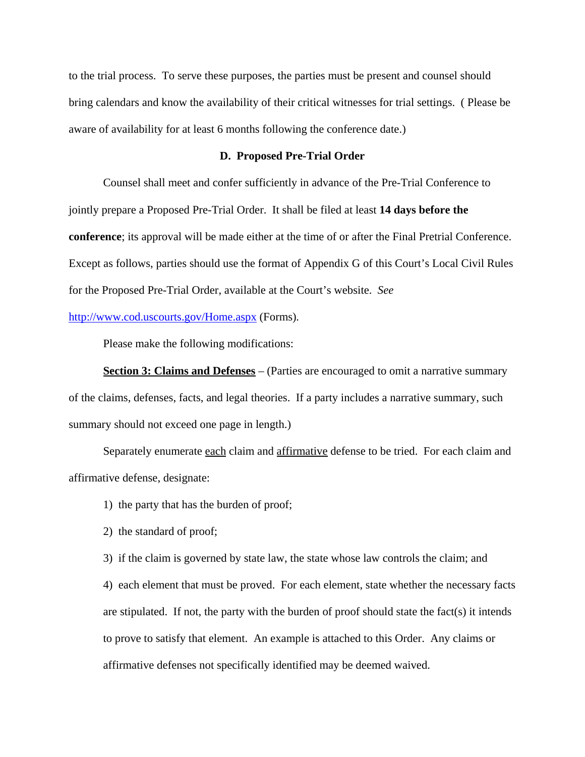to the trial process. To serve these purposes, the parties must be present and counsel should bring calendars and know the availability of their critical witnesses for trial settings. ( Please be aware of availability for at least 6 months following the conference date.)

#### **D. Proposed Pre-Trial Order**

Counsel shall meet and confer sufficiently in advance of the Pre-Trial Conference to jointly prepare a Proposed Pre-Trial Order. It shall be filed at least **14 days before the conference**; its approval will be made either at the time of or after the Final Pretrial Conference. Except as follows, parties should use the format of Appendix G of this Court's Local Civil Rules for the Proposed Pre-Trial Order, available at the Court's website. *See*

### http://www.cod.uscourts.gov/Home.aspx (Forms)*.*

Please make the following modifications:

**Section 3: Claims and Defenses** – (Parties are encouraged to omit a narrative summary of the claims, defenses, facts, and legal theories. If a party includes a narrative summary, such summary should not exceed one page in length.)

Separately enumerate each claim and affirmative defense to be tried. For each claim and affirmative defense, designate:

- 1) the party that has the burden of proof;
- 2) the standard of proof;
- 3) if the claim is governed by state law, the state whose law controls the claim; and

4) each element that must be proved. For each element, state whether the necessary facts are stipulated. If not, the party with the burden of proof should state the fact(s) it intends to prove to satisfy that element. An example is attached to this Order. Any claims or affirmative defenses not specifically identified may be deemed waived.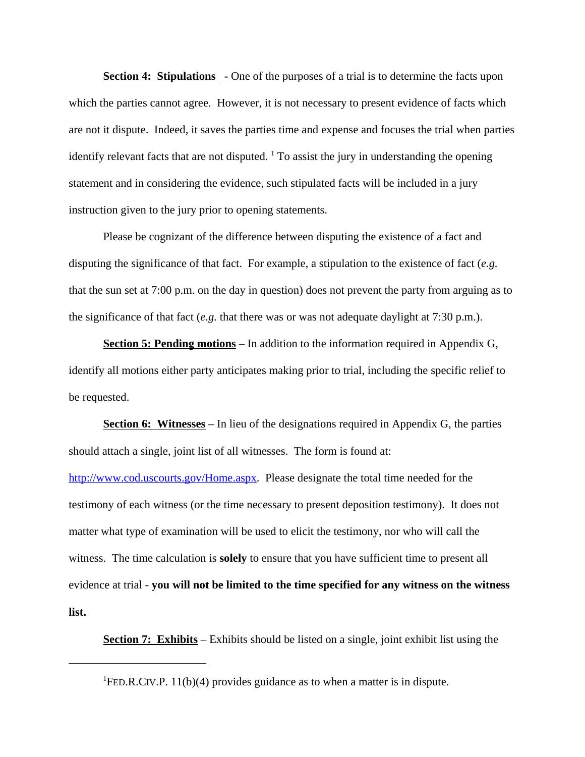**Section 4: Stipulations** - One of the purposes of a trial is to determine the facts upon which the parties cannot agree. However, it is not necessary to present evidence of facts which are not it dispute. Indeed, it saves the parties time and expense and focuses the trial when parties identify relevant facts that are not disputed.  $\frac{1}{1}$  To assist the jury in understanding the opening statement and in considering the evidence, such stipulated facts will be included in a jury instruction given to the jury prior to opening statements.

Please be cognizant of the difference between disputing the existence of a fact and disputing the significance of that fact. For example, a stipulation to the existence of fact (*e.g.* that the sun set at 7:00 p.m. on the day in question) does not prevent the party from arguing as to the significance of that fact (*e.g.* that there was or was not adequate daylight at 7:30 p.m.).

**Section 5: Pending motions** – In addition to the information required in Appendix G, identify all motions either party anticipates making prior to trial, including the specific relief to be requested.

**Section 6: Witnesses** – In lieu of the designations required in Appendix G, the parties should attach a single, joint list of all witnesses. The form is found at: http://www.cod.uscourts.gov/Home.aspx. Please designate the total time needed for the testimony of each witness (or the time necessary to present deposition testimony). It does not matter what type of examination will be used to elicit the testimony, nor who will call the witness. The time calculation is **solely** to ensure that you have sufficient time to present all evidence at trial - **you will not be limited to the time specified for any witness on the witness list.**

**Section 7: Exhibits** – Exhibits should be listed on a single, joint exhibit list using the

<sup>&</sup>lt;sup>1</sup>FED.R.CIV.P. 11(b)(4) provides guidance as to when a matter is in dispute.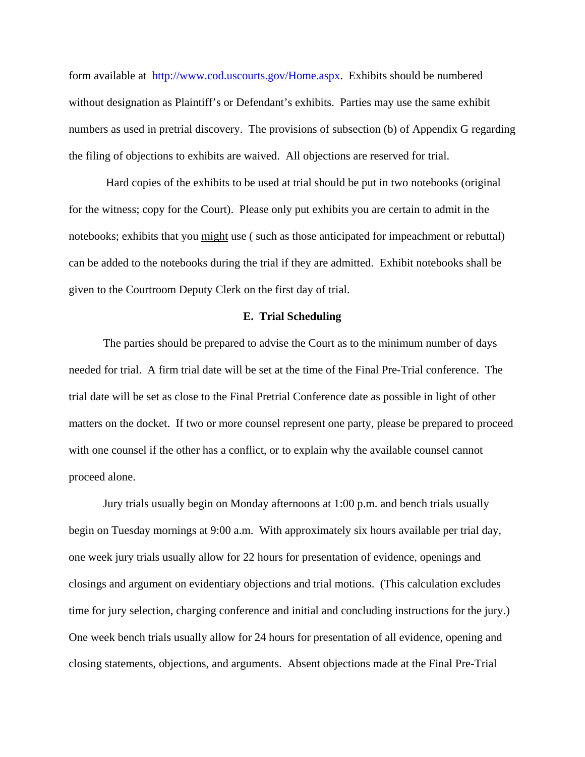form available at http://www.cod.uscourts.gov/Home.aspx. Exhibits should be numbered without designation as Plaintiff's or Defendant's exhibits. Parties may use the same exhibit numbers as used in pretrial discovery. The provisions of subsection (b) of Appendix G regarding the filing of objections to exhibits are waived. All objections are reserved for trial.

 Hard copies of the exhibits to be used at trial should be put in two notebooks (original for the witness; copy for the Court). Please only put exhibits you are certain to admit in the notebooks; exhibits that you might use ( such as those anticipated for impeachment or rebuttal) can be added to the notebooks during the trial if they are admitted. Exhibit notebooks shall be given to the Courtroom Deputy Clerk on the first day of trial.

#### **E. Trial Scheduling**

The parties should be prepared to advise the Court as to the minimum number of days needed for trial. A firm trial date will be set at the time of the Final Pre-Trial conference. The trial date will be set as close to the Final Pretrial Conference date as possible in light of other matters on the docket. If two or more counsel represent one party, please be prepared to proceed with one counsel if the other has a conflict, or to explain why the available counsel cannot proceed alone.

Jury trials usually begin on Monday afternoons at 1:00 p.m. and bench trials usually begin on Tuesday mornings at 9:00 a.m. With approximately six hours available per trial day, one week jury trials usually allow for 22 hours for presentation of evidence, openings and closings and argument on evidentiary objections and trial motions. (This calculation excludes time for jury selection, charging conference and initial and concluding instructions for the jury.) One week bench trials usually allow for 24 hours for presentation of all evidence, opening and closing statements, objections, and arguments. Absent objections made at the Final Pre-Trial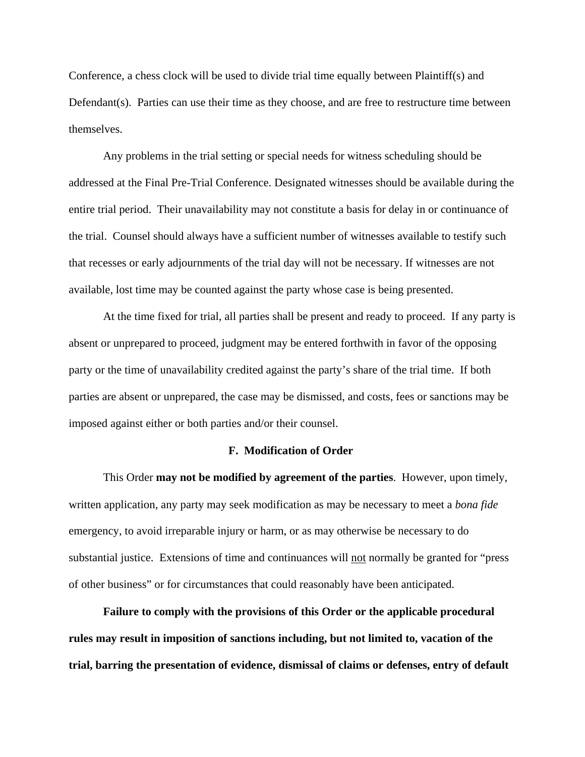Conference, a chess clock will be used to divide trial time equally between Plaintiff(s) and Defendant(s). Parties can use their time as they choose, and are free to restructure time between themselves.

Any problems in the trial setting or special needs for witness scheduling should be addressed at the Final Pre-Trial Conference. Designated witnesses should be available during the entire trial period. Their unavailability may not constitute a basis for delay in or continuance of the trial. Counsel should always have a sufficient number of witnesses available to testify such that recesses or early adjournments of the trial day will not be necessary. If witnesses are not available, lost time may be counted against the party whose case is being presented.

At the time fixed for trial, all parties shall be present and ready to proceed. If any party is absent or unprepared to proceed, judgment may be entered forthwith in favor of the opposing party or the time of unavailability credited against the party's share of the trial time. If both parties are absent or unprepared, the case may be dismissed, and costs, fees or sanctions may be imposed against either or both parties and/or their counsel.

#### **F. Modification of Order**

This Order **may not be modified by agreement of the parties**. However, upon timely, written application, any party may seek modification as may be necessary to meet a *bona fide* emergency, to avoid irreparable injury or harm, or as may otherwise be necessary to do substantial justice. Extensions of time and continuances will not normally be granted for "press of other business" or for circumstances that could reasonably have been anticipated.

**Failure to comply with the provisions of this Order or the applicable procedural rules may result in imposition of sanctions including, but not limited to, vacation of the trial, barring the presentation of evidence, dismissal of claims or defenses, entry of default**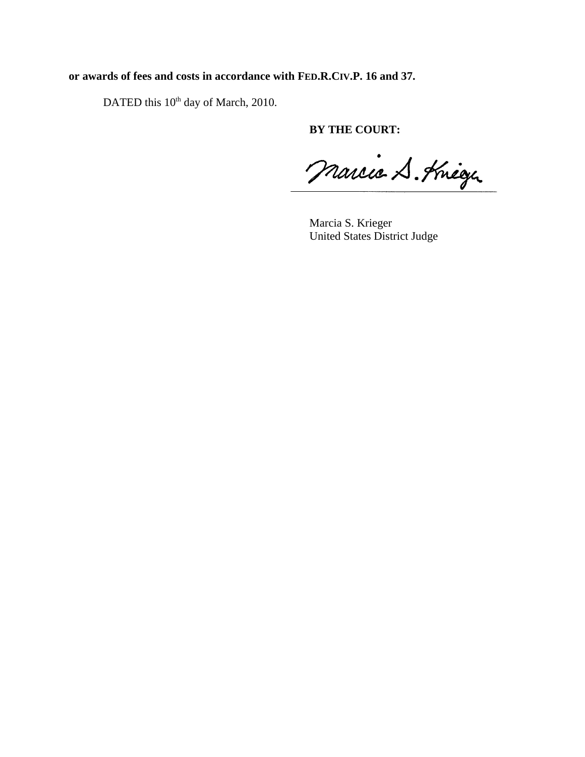# **or awards of fees and costs in accordance with FED.R.CIV.P. 16 and 37.**

DATED this 10<sup>th</sup> day of March, 2010.

**BY THE COURT:**

Marcie S. Kneezer

Marcia S. Krieger United States District Judge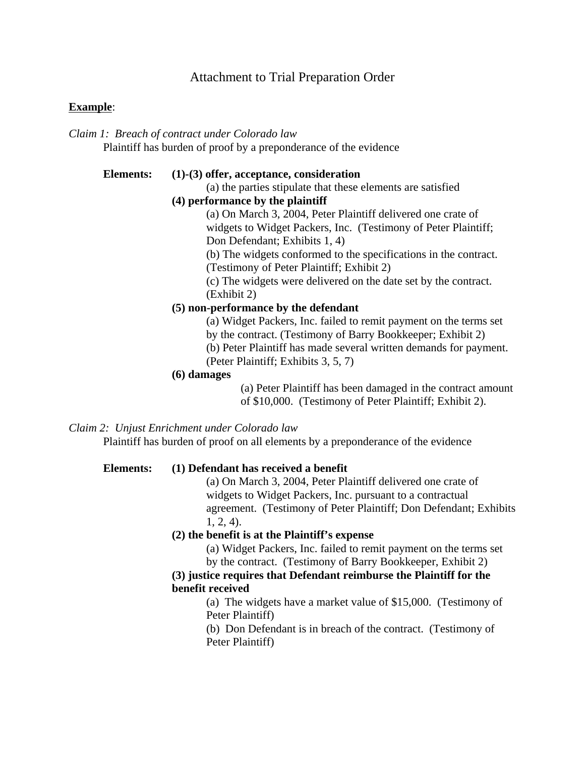# Attachment to Trial Preparation Order

### **Example**:

*Claim 1: Breach of contract under Colorado law* Plaintiff has burden of proof by a preponderance of the evidence

#### **Elements: (1)-(3) offer, acceptance, consideration**

(a) the parties stipulate that these elements are satisfied

#### **(4) performance by the plaintiff**

(a) On March 3, 2004, Peter Plaintiff delivered one crate of widgets to Widget Packers, Inc. (Testimony of Peter Plaintiff; Don Defendant; Exhibits 1, 4)

(b) The widgets conformed to the specifications in the contract.

(Testimony of Peter Plaintiff; Exhibit 2)

(c) The widgets were delivered on the date set by the contract. (Exhibit 2)

#### **(5) non-performance by the defendant**

(a) Widget Packers, Inc. failed to remit payment on the terms set by the contract. (Testimony of Barry Bookkeeper; Exhibit 2) (b) Peter Plaintiff has made several written demands for payment.

(Peter Plaintiff; Exhibits 3, 5, 7)

# **(6) damages**

(a) Peter Plaintiff has been damaged in the contract amount of \$10,000. (Testimony of Peter Plaintiff; Exhibit 2).

## *Claim 2: Unjust Enrichment under Colorado law*

Plaintiff has burden of proof on all elements by a preponderance of the evidence

#### **Elements: (1) Defendant has received a benefit**

(a) On March 3, 2004, Peter Plaintiff delivered one crate of widgets to Widget Packers, Inc. pursuant to a contractual agreement. (Testimony of Peter Plaintiff; Don Defendant; Exhibits 1, 2, 4).

#### **(2) the benefit is at the Plaintiff's expense**

(a) Widget Packers, Inc. failed to remit payment on the terms set by the contract. (Testimony of Barry Bookkeeper, Exhibit 2)

## **(3) justice requires that Defendant reimburse the Plaintiff for the benefit received**

(a) The widgets have a market value of \$15,000. (Testimony of Peter Plaintiff)

(b) Don Defendant is in breach of the contract. (Testimony of Peter Plaintiff)